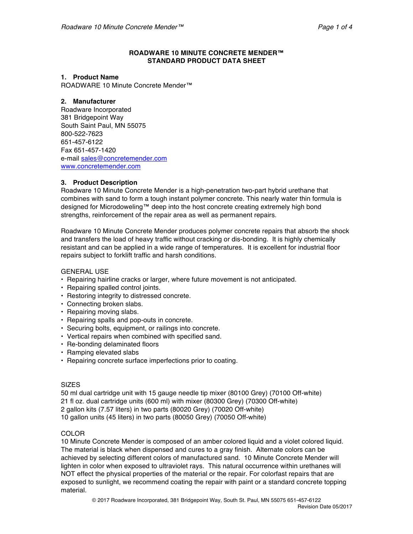## **ROADWARE 10 MINUTE CONCRETE MENDER™ STANDARD PRODUCT DATA SHEET**

### **1. Product Name**

ROADWARE 10 Minute Concrete Mender™

## **2. Manufacturer**

Roadware Incorporated 381 Bridgepoint Way South Saint Paul, MN 55075 800-522-7623 651-457-6122 Fax 651-457-1420 e-mail sales@concretemender.com www.concretemender.com

# **3. Product Description**

Roadware 10 Minute Concrete Mender is a high-penetration two-part hybrid urethane that combines with sand to form a tough instant polymer concrete. This nearly water thin formula is designed for Microdoweling™ deep into the host concrete creating extremely high bond strengths, reinforcement of the repair area as well as permanent repairs.

Roadware 10 Minute Concrete Mender produces polymer concrete repairs that absorb the shock and transfers the load of heavy traffic without cracking or dis-bonding. It is highly chemically resistant and can be applied in a wide range of temperatures. It is excellent for industrial floor repairs subject to forklift traffic and harsh conditions.

GENERAL USE

- Repairing hairline cracks or larger, where future movement is not anticipated.
- Repairing spalled control joints.
- Restoring integrity to distressed concrete.
- Connecting broken slabs.
- Repairing moving slabs.
- Repairing spalls and pop-outs in concrete.
- Securing bolts, equipment, or railings into concrete.
- Vertical repairs when combined with specified sand.
- Re-bonding delaminated floors
- Ramping elevated slabs
- Repairing concrete surface imperfections prior to coating.

### **SIZES**

50 ml dual cartridge unit with 15 gauge needle tip mixer (80100 Grey) (70100 Off-white) 21 fl oz. dual cartridge units (600 ml) with mixer (80300 Grey) (70300 Off-white) 2 gallon kits (7.57 liters) in two parts (80020 Grey) (70020 Off-white) 10 gallon units (45 liters) in two parts (80050 Grey) (70050 Off-white)

# **COLOR**

10 Minute Concrete Mender is composed of an amber colored liquid and a violet colored liquid. The material is black when dispensed and cures to a gray finish. Alternate colors can be achieved by selecting different colors of manufactured sand. 10 Minute Concrete Mender will lighten in color when exposed to ultraviolet rays. This natural occurrence within urethanes will NOT effect the physical properties of the material or the repair. For colorfast repairs that are exposed to sunlight, we recommend coating the repair with paint or a standard concrete topping material.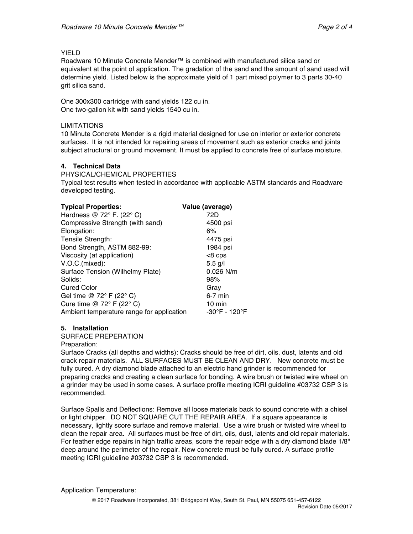## YIELD

Roadware 10 Minute Concrete Mender™ is combined with manufactured silica sand or equivalent at the point of application. The gradation of the sand and the amount of sand used will determine yield. Listed below is the approximate yield of 1 part mixed polymer to 3 parts 30-40 grit silica sand.

One 300x300 cartridge with sand yields 122 cu in. One two-gallon kit with sand yields 1540 cu in.

## LIMITATIONS

10 Minute Concrete Mender is a rigid material designed for use on interior or exterior concrete surfaces. It is not intended for repairing areas of movement such as exterior cracks and joints subject structural or ground movement. It must be applied to concrete free of surface moisture.

## **4. Technical Data**

PHYSICAL/CHEMICAL PROPERTIES

Typical test results when tested in accordance with applicable ASTM standards and Roadware developed testing.

| Value (average)                                            |
|------------------------------------------------------------|
| 72D                                                        |
| 4500 psi                                                   |
| 6%                                                         |
| 4475 psi                                                   |
| 1984 psi                                                   |
| $<8$ cps                                                   |
| $5.5$ g/l                                                  |
| 0.026 N/m                                                  |
| 98%                                                        |
| Gray                                                       |
| $6-7$ min                                                  |
| $10 \text{ min}$                                           |
| -30°F - 120°F<br>Ambient temperature range for application |
|                                                            |

# **5. Installation**

SURFACE PREPERATION

Preparation:

Surface Cracks (all depths and widths): Cracks should be free of dirt, oils, dust, latents and old crack repair materials. ALL SURFACES MUST BE CLEAN AND DRY. New concrete must be fully cured. A dry diamond blade attached to an electric hand grinder is recommended for preparing cracks and creating a clean surface for bonding. A wire brush or twisted wire wheel on a grinder may be used in some cases. A surface profile meeting ICRI guideline #03732 CSP 3 is recommended.

Surface Spalls and Deflections: Remove all loose materials back to sound concrete with a chisel or light chipper. DO NOT SQUARE CUT THE REPAIR AREA. If a square appearance is necessary, lightly score surface and remove material. Use a wire brush or twisted wire wheel to clean the repair area. All surfaces must be free of dirt, oils, dust, latents and old repair materials. For feather edge repairs in high traffic areas, score the repair edge with a dry diamond blade 1/8" deep around the perimeter of the repair. New concrete must be fully cured. A surface profile meeting ICRI guideline #03732 CSP 3 is recommended.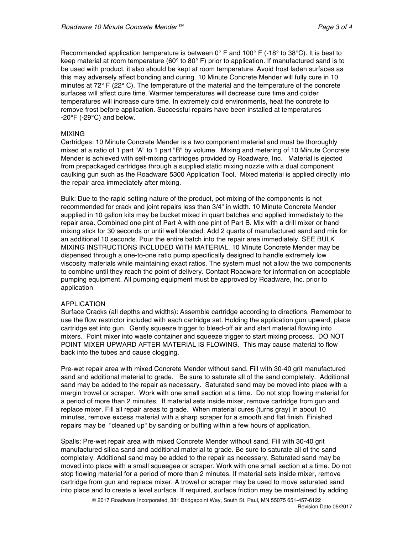Recommended application temperature is between  $0^{\circ}$  F and  $100^{\circ}$  F (-18 $^{\circ}$  to 38 $^{\circ}$ C). It is best to keep material at room temperature (60 $^{\circ}$  to 80 $^{\circ}$  F) prior to application. If manufactured sand is to be used with product, it also should be kept at room temperature. Avoid frost laden surfaces as this may adversely affect bonding and curing. 10 Minute Concrete Mender will fully cure in 10 minutes at  $72^{\circ}$  F ( $22^{\circ}$  C). The temperature of the material and the temperature of the concrete surfaces will affect cure time. Warmer temperatures will decrease cure time and colder temperatures will increase cure time. In extremely cold environments, heat the concrete to remove frost before application. Successful repairs have been installed at temperatures  $-20^{\circ}$ F ( $-29^{\circ}$ C) and below.

### MIXING

Cartridges: 10 Minute Concrete Mender is a two component material and must be thoroughly mixed at a ratio of 1 part "A" to 1 part "B" by volume. Mixing and metering of 10 Minute Concrete Mender is achieved with self-mixing cartridges provided by Roadware, Inc. Material is ejected from prepackaged cartridges through a supplied static mixing nozzle with a dual component caulking gun such as the Roadware 5300 Application Tool, Mixed material is applied directly into the repair area immediately after mixing.

Bulk: Due to the rapid setting nature of the product, pot-mixing of the components is not recommended for crack and joint repairs less than 3/4" in width. 10 Minute Concrete Mender supplied in 10 gallon kits may be bucket mixed in quart batches and applied immediately to the repair area. Combined one pint of Part A with one pint of Part B. Mix with a drill mixer or hand mixing stick for 30 seconds or until well blended. Add 2 quarts of manufactured sand and mix for an additional 10 seconds. Pour the entire batch into the repair area immediately. SEE BULK MIXING INSTRUCTIONS INCLUDED WITH MATERIAL. 10 Minute Concrete Mender may be dispensed through a one-to-one ratio pump specifically designed to handle extremely low viscosity materials while maintaining exact ratios. The system must not allow the two components to combine until they reach the point of delivery. Contact Roadware for information on acceptable pumping equipment. All pumping equipment must be approved by Roadware, Inc. prior to application

### APPLICATION

Surface Cracks (all depths and widths): Assemble cartridge according to directions. Remember to use the flow restrictor included with each cartridge set. Holding the application gun upward, place cartridge set into gun. Gently squeeze trigger to bleed-off air and start material flowing into mixers. Point mixer into waste container and squeeze trigger to start mixing process. DO NOT POINT MIXER UPWARD AFTER MATERIAL IS FLOWING. This may cause material to flow back into the tubes and cause clogging.

Pre-wet repair area with mixed Concrete Mender without sand. Fill with 30-40 grit manufactured sand and additional material to grade. Be sure to saturate all of the sand completely. Additional sand may be added to the repair as necessary. Saturated sand may be moved into place with a margin trowel or scraper. Work with one small section at a time. Do not stop flowing material for a period of more than 2 minutes. If material sets inside mixer, remove cartridge from gun and replace mixer. Fill all repair areas to grade. When material cures (turns gray) in about 10 minutes, remove excess material with a sharp scraper for a smooth and flat finish. Finished repairs may be "cleaned up" by sanding or buffing within a few hours of application.

Spalls: Pre-wet repair area with mixed Concrete Mender without sand. Fill with 30-40 grit manufactured silica sand and additional material to grade. Be sure to saturate all of the sand completely. Additional sand may be added to the repair as necessary. Saturated sand may be moved into place with a small squeegee or scraper. Work with one small section at a time. Do not stop flowing material for a period of more than 2 minutes. If material sets inside mixer, remove cartridge from gun and replace mixer. A trowel or scraper may be used to move saturated sand into place and to create a level surface. If required, surface friction may be maintained by adding